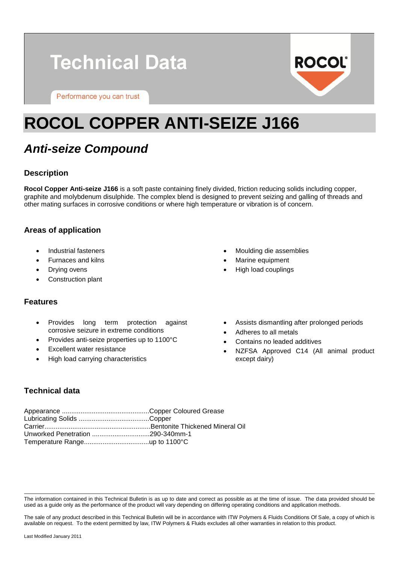## **Technical Data**

Performance you can trust

# **ROCOL**

## **ROCOL COPPER ANTI-SEIZE J166**

### *Anti-seize Compound*

#### **Description**

**Rocol Copper Anti-seize J166** is a soft paste containing finely divided, friction reducing solids including copper, graphite and molybdenum disulphide. The complex blend is designed to prevent seizing and galling of threads and other mating surfaces in corrosive conditions or where high temperature or vibration is of concern.

#### **Areas of application**

- Industrial fasteners
- Furnaces and kilns
- Drying ovens
- Construction plant

#### **Features**

- Provides long term protection against corrosive seizure in extreme conditions
- Provides anti-seize properties up to 1100°C
- Excellent water resistance
- High load carrying characteristics
- Moulding die assemblies
- Marine equipment
- High load couplings
- Assists dismantling after prolonged periods
- Adheres to all metals
- Contains no leaded additives
- NZFSA Approved C14 (All animal product except dairy)

#### **Technical data**

The information contained in this Technical Bulletin is as up to date and correct as possible as at the time of issue. The data provided should be used as a guide only as the performance of the product will vary depending on differing operating conditions and application methods.

The sale of any product described in this Technical Bulletin will be in accordance with ITW Polymers & Fluids Conditions Of Sale, a copy of which is available on request. To the extent permitted by law, ITW Polymers & Fluids excludes all other warranties in relation to this product.